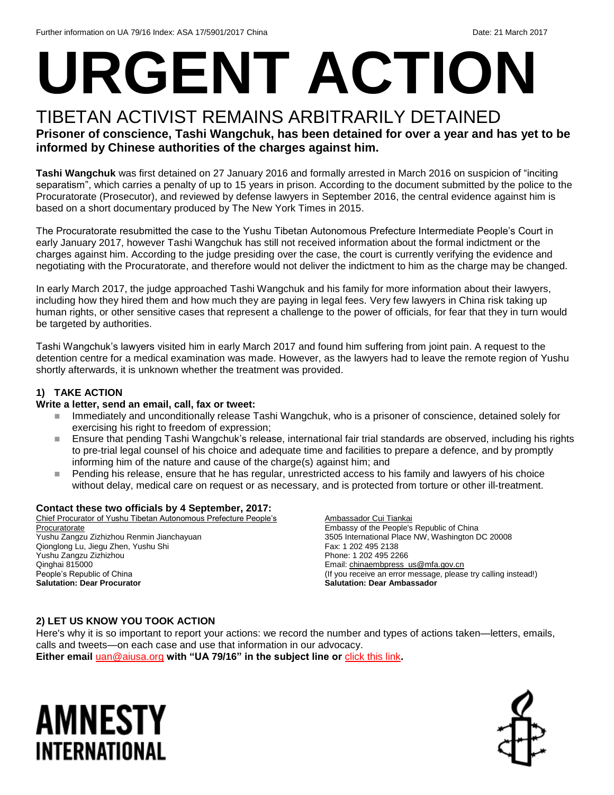# **URGENT ACTION**

#### TIBETAN ACTIVIST REMAINS ARBITRARILY DETAINED **Prisoner of conscience, Tashi Wangchuk, has been detained for over a year and has yet to be informed by Chinese authorities of the charges against him.**

**Tashi Wangchuk** was first detained on 27 January 2016 and formally arrested in March 2016 on suspicion of "inciting separatism", which carries a penalty of up to 15 years in prison. According to the document submitted by the police to the Procuratorate (Prosecutor), and reviewed by defense lawyers in September 2016, the central evidence against him is based on a short documentary produced by The New York Times in 2015.

The Procuratorate resubmitted the case to the Yushu Tibetan Autonomous Prefecture Intermediate People's Court in early January 2017, however Tashi Wangchuk has still not received information about the formal indictment or the charges against him. According to the judge presiding over the case, the court is currently verifying the evidence and negotiating with the Procuratorate, and therefore would not deliver the indictment to him as the charge may be changed.

In early March 2017, the judge approached Tashi Wangchuk and his family for more information about their lawyers, including how they hired them and how much they are paying in legal fees. Very few lawyers in China risk taking up human rights, or other sensitive cases that represent a challenge to the power of officials, for fear that they in turn would be targeted by authorities.

Tashi Wangchuk's lawyers visited him in early March 2017 and found him suffering from joint pain. A request to the detention centre for a medical examination was made. However, as the lawyers had to leave the remote region of Yushu shortly afterwards, it is unknown whether the treatment was provided.

#### **1) TAKE ACTION**

#### **Write a letter, send an email, call, fax or tweet:**

- Immediately and unconditionally release Tashi Wangchuk, who is a prisoner of conscience, detained solely for exercising his right to freedom of expression;
- Ensure that pending Tashi Wangchuk's release, international fair trial standards are observed, including his rights to pre-trial legal counsel of his choice and adequate time and facilities to prepare a defence, and by promptly informing him of the nature and cause of the charge(s) against him; and
- **Pending his release, ensure that he has regular, unrestricted access to his family and lawyers of his choice** without delay, medical care on request or as necessary, and is protected from torture or other ill-treatment.

#### **Contact these two officials by 4 September, 2017:**

Chief Procurator of Yushu Tibetan Autonomous Prefecture People's **Procuratorate** Yushu Zangzu Zizhizhou Renmin Jianchayuan Qionglong Lu, Jiegu Zhen, Yushu Shi Yushu Zangzu Zizhizhou Qinghai 815000 People's Republic of China **Salutation: Dear Procurator**

Ambassador Cui Tiankai Embassy of the People's Republic of China 3505 International Place NW, Washington DC 20008 Fax: 1 202 495 2138 Phone: 1 202 495 2266 Email[: chinaembpress\\_us@mfa.gov.cn](mailto:chinaembpress_us@mfa.gov.cn) (If you receive an error message, please try calling instead!) **Salutation: Dear Ambassador**

#### **2) LET US KNOW YOU TOOK ACTION**

Here's why it is so important to report your actions: we record the number and types of actions taken—letters, emails, calls and tweets—on each case and use that information in our advocacy.

**Either email** [uan@aiusa.org](mailto:uan@aiusa.org?subject=UA%2079/16) **with "UA 79/16" in the subject line or** [click this link](https://www.surveymonkey.com/r/FN8BML8)**.**